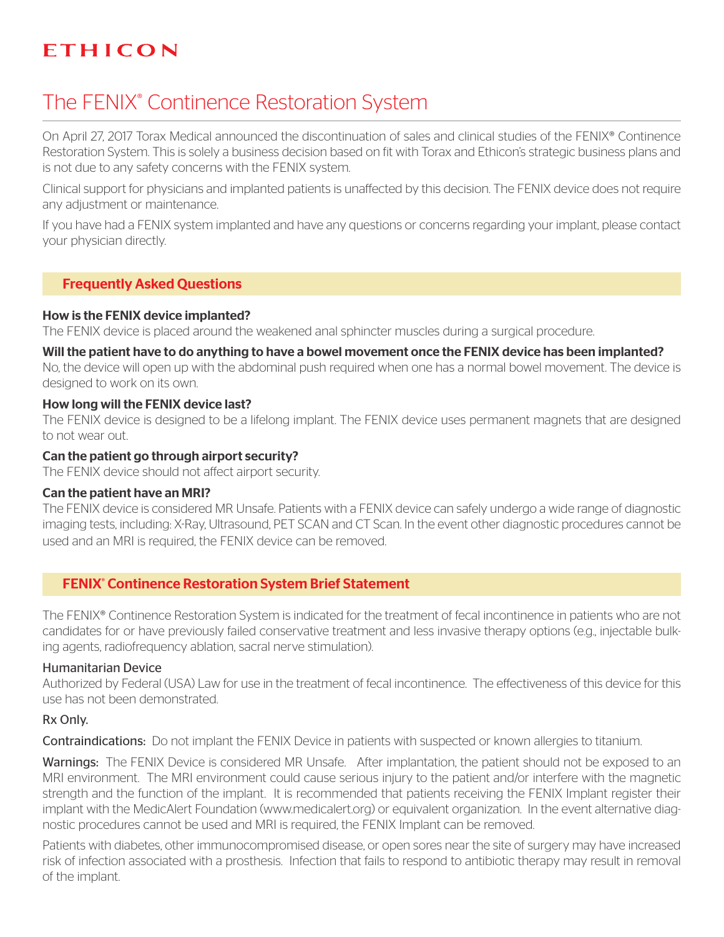# ETHICON

# The FENIX® Continence Restoration System

On April 27, 2017 Torax Medical announced the discontinuation of sales and clinical studies of the FENIX® Continence Restoration System. This is solely a business decision based on fit with Torax and Ethicon's strategic business plans and is not due to any safety concerns with the FENIX system.

Clinical support for physicians and implanted patients is unaffected by this decision. The FENIX device does not require any adjustment or maintenance.

If you have had a FENIX system implanted and have any questions or concerns regarding your implant, please contact your physician directly.

# Frequently Asked Questions

## How is the FENIX device implanted?

The FENIX device is placed around the weakened anal sphincter muscles during a surgical procedure.

#### Will the patient have to do anything to have a bowel movement once the FENIX device has been implanted?

No, the device will open up with the abdominal push required when one has a normal bowel movement. The device is designed to work on its own.

## How long will the FENIX device last?

The FENIX device is designed to be a lifelong implant. The FENIX device uses permanent magnets that are designed to not wear out.

## Can the patient go through airport security?

The FENIX device should not affect airport security.

#### Can the patient have an MRI?

The FENIX device is considered MR Unsafe. Patients with a FENIX device can safely undergo a wide range of diagnostic imaging tests, including: X-Ray, Ultrasound, PET SCAN and CT Scan. In the event other diagnostic procedures cannot be used and an MRI is required, the FENIX device can be removed.

# FENIX<sup>®</sup> Continence Restoration System Brief Statement

The FENIX® Continence Restoration System is indicated for the treatment of fecal incontinence in patients who are not candidates for or have previously failed conservative treatment and less invasive therapy options (e.g., injectable bulking agents, radiofrequency ablation, sacral nerve stimulation).

#### Humanitarian Device

Authorized by Federal (USA) Law for use in the treatment of fecal incontinence. The effectiveness of this device for this use has not been demonstrated.

## Rx Only.

Contraindications: Do not implant the FENIX Device in patients with suspected or known allergies to titanium.

Warnings: The FENIX Device is considered MR Unsafe. After implantation, the patient should not be exposed to an MRI environment. The MRI environment could cause serious injury to the patient and/or interfere with the magnetic strength and the function of the implant. It is recommended that patients receiving the FENIX Implant register their implant with the MedicAlert Foundation (www.medicalert.org) or equivalent organization. In the event alternative diagnostic procedures cannot be used and MRI is required, the FENIX Implant can be removed.

Patients with diabetes, other immunocompromised disease, or open sores near the site of surgery may have increased risk of infection associated with a prosthesis. Infection that fails to respond to antibiotic therapy may result in removal of the implant.